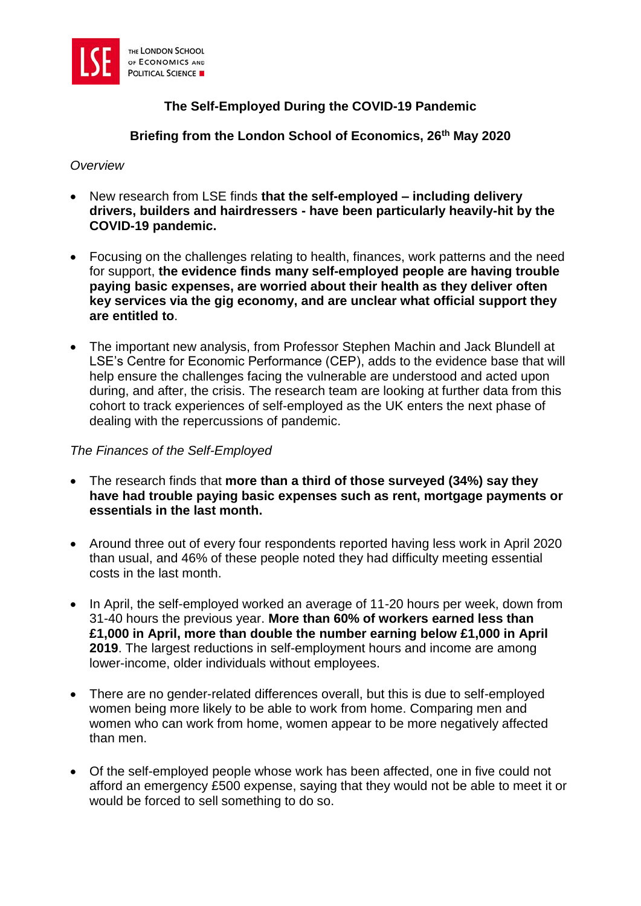

# **The Self-Employed During the COVID-19 Pandemic**

**Briefing from the London School of Economics, 26th May 2020**

*Overview*

- New research from LSE finds **that the self-employed – including delivery drivers, builders and hairdressers - have been particularly heavily-hit by the COVID-19 pandemic.**
- Focusing on the challenges relating to health, finances, work patterns and the need for support, **the evidence finds many self-employed people are having trouble paying basic expenses, are worried about their health as they deliver often key services via the gig economy, and are unclear what official support they are entitled to**.
- The important new analysis, from Professor Stephen Machin and Jack Blundell at LSE's Centre for Economic Performance (CEP), adds to the evidence base that will help ensure the challenges facing the vulnerable are understood and acted upon during, and after, the crisis. The research team are looking at further data from this cohort to track experiences of self-employed as the UK enters the next phase of dealing with the repercussions of pandemic.

#### *The Finances of the Self-Employed*

- The research finds that **more than a third of those surveyed (34%) say they have had trouble paying basic expenses such as rent, mortgage payments or essentials in the last month.**
- Around three out of every four respondents reported having less work in April 2020 than usual, and 46% of these people noted they had difficulty meeting essential costs in the last month.
- In April, the self-employed worked an average of 11-20 hours per week, down from 31-40 hours the previous year. **More than 60% of workers earned less than £1,000 in April, more than double the number earning below £1,000 in April 2019**. The largest reductions in self-employment hours and income are among lower-income, older individuals without employees.
- There are no gender-related differences overall, but this is due to self-employed women being more likely to be able to work from home. Comparing men and women who can work from home, women appear to be more negatively affected than men.
- Of the self-employed people whose work has been affected, one in five could not afford an emergency £500 expense, saying that they would not be able to meet it or would be forced to sell something to do so.